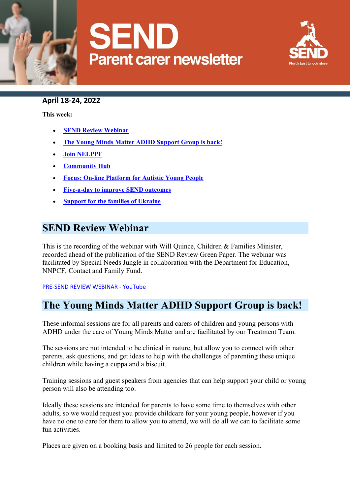



### **April 18-24, 2022**

**This week:**

- **[SEND Review Webinar](https://sendlocaloffer.nelincs.gov.uk/parent-carer-weekly-update-monday-28-march-3-april-2/#send-survey)**
- **[The Young Minds Matter ADHD Support Group is back!](https://sendlocaloffer.nelincs.gov.uk/parent-carer-weekly-update-monday-28-march-3-april-2/#training-for-young-people-on-abusive-relationships)**
- **[Join NELPPF](https://sendlocaloffer.nelincs.gov.uk/parent-carer-weekly-update-monday-28-march-3-april-2/#training-for-young-people-on-abusive-relationships)**
- **[Community Hub](https://sendlocaloffer.nelincs.gov.uk/parent-carer-weekly-update-monday-28-march-3-april-2/#training-for-young-people-on-abusive-relationships)**
- **[Focus: On-line Platform for Autistic Young People](https://sendlocaloffer.nelincs.gov.uk/parent-carer-weekly-update-monday-28-march-3-april-2/#training-for-young-people-on-abusive-relationships)**
- **[Five-a-day to improve SEND outcomes](https://sendlocaloffer.nelincs.gov.uk/parent-carer-weekly-update-monday-28-march-3-april-2/#training-for-young-people-on-abusive-relationships)**
- **[Support for the families of Ukraine](https://sendlocaloffer.nelincs.gov.uk/parent-carer-weekly-update-monday-28-march-3-april-2/#training-for-young-people-on-abusive-relationships)**

### **SEND Review Webinar**

This is the recording of the webinar with Will Quince, Children & Families Minister, recorded ahead of the publication of the SEND Review Green Paper. The webinar was facilitated by Special Needs Jungle in collaboration with the Department for Education, NNPCF, Contact and Family Fund.

[PRE-SEND REVIEW WEBINAR -](https://www.youtube.com/watch?v=M0R7MG8VI7s) YouTube

## **The Young Minds Matter ADHD Support Group is back!**

These informal sessions are for all parents and carers of children and young persons with ADHD under the care of Young Minds Matter and are facilitated by our Treatment Team.

The sessions are not intended to be clinical in nature, but allow you to connect with other parents, ask questions, and get ideas to help with the challenges of parenting these unique children while having a cuppa and a biscuit.

Training sessions and guest speakers from agencies that can help support your child or young person will also be attending too.

Ideally these sessions are intended for parents to have some time to themselves with other adults, so we would request you provide childcare for your young people, however if you have no one to care for them to allow you to attend, we will do all we can to facilitate some fun activities.

Places are given on a booking basis and limited to 26 people for each session.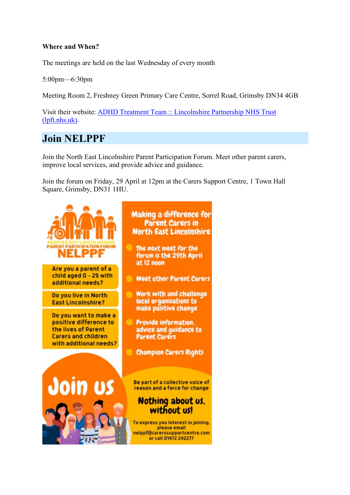### **Where and When?**

The meetings are held on the last Wednesday of every month

5:00pm—6:30pm

Meeting Room 2, Freshney Green Primary Care Centre, Sorrel Road, Grimsby DN34 4GB

Visit their website: [ADHD Treatment Team :: Lincolnshire Partnership NHS Trust](https://www.lpft.nhs.uk/young-people/north-east-lincolnshire/parents-and-carers/adhd-team)  [\(lpft.nhs.uk\).](https://www.lpft.nhs.uk/young-people/north-east-lincolnshire/parents-and-carers/adhd-team)

### **Join NELPPF**

Join the North East Lincolnshire Parent Participation Forum. Meet other parent carers, improve local services, and provide advice and guidance.

Join the forum on Friday, 29 April at 12pm at the Carers Support Centre, 1 Town Hall Square, Grimsby, DN31 1HU.

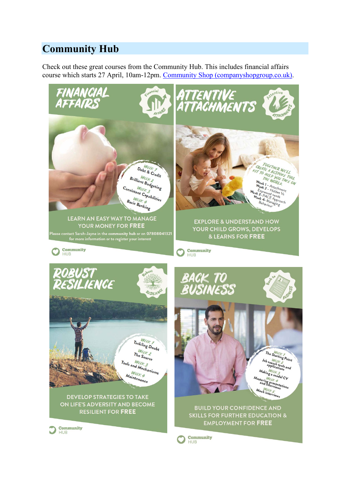# **Community Hub**

Check out these great courses from the Community Hub. This includes financial affairs course which starts 27 April, 10am-12pm. Community [Shop \(companyshopgroup.co.uk\).](https://www.companyshopgroup.co.uk/community-shop-our-social-enterprise)

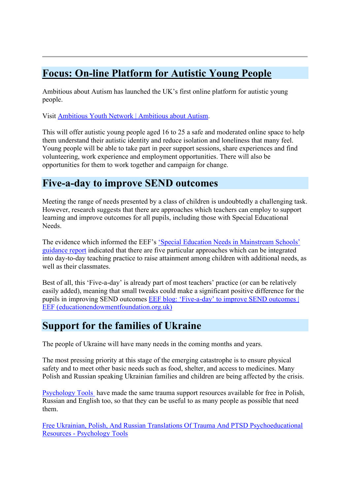# **Focus: On-line Platform for Autistic Young People**

Ambitious about Autism has launched the UK's first online platform for autistic young people.

Visit [Ambitious Youth Network | Ambitious about Autism.](https://www.ambitiousaboutautism.org.uk/what-we-do/youth-network/ambitious-youth-network?gclid=Cj0KCQjwpImTBhCmARIsAKr58cwNG30BfVjGNqrUt4vWMLYB0HUUvSUQa-dl6N9HEhtKHrV7wwXCY0kaAsNcEALw_wcB)

This will offer autistic young people aged 16 to 25 a safe and moderated online space to help them understand their autistic identity and reduce isolation and loneliness that many feel.  Young people will be able to take part in peer support sessions, share experiences and find volunteering, work experience and employment opportunities. There will also be opportunities for them to work together and campaign for change.

### **Five-a-day to improve SEND outcomes**

Meeting the range of needs presented by a class of children is undoubtedly a challenging task. However, research suggests that there are approaches which teachers can employ to support learning and improve outcomes for all pupils, including those with Special Educational Needs.

The evidence which informed the EEF's ['Special Education Needs in Mainstream Schools'](https://educationendowmentfoundation.org.uk/education-evidence/guidance-reports/send?token=Bpk0hM3zywrGVm7HgtEWVUrCbrQK0YjE)  [guidance report](https://educationendowmentfoundation.org.uk/education-evidence/guidance-reports/send?token=Bpk0hM3zywrGVm7HgtEWVUrCbrQK0YjE) indicated that there are five particular approaches which can be integrated into day-to-day teaching practice to raise attainment among children with additional needs, as well as their classmates.

Best of all, this 'Five-a-day' is already part of most teachers' practice (or can be relatively easily added), meaning that small tweaks could make a significant positive difference for the pupils in improving SEND outcomes [EEF blog: 'Five-a-day' to improve SEND outcomes |](https://educationendowmentfoundation.org.uk/news/eef-blog-five-a-day-to-improve-send-outcomes?token=Bpk0hM3zywrGVm7HgtEWVUrCbrQK0YjE&mc_cid=4742a7d0bb&mc_eid=c63232fdb1)  [EEF \(educationendowmentfoundation.org.uk\)](https://educationendowmentfoundation.org.uk/news/eef-blog-five-a-day-to-improve-send-outcomes?token=Bpk0hM3zywrGVm7HgtEWVUrCbrQK0YjE&mc_cid=4742a7d0bb&mc_eid=c63232fdb1)

### **Support for the families of Ukraine**

The people of Ukraine will have many needs in the coming months and years.

The most pressing priority at this stage of the emerging catastrophe is to ensure physical safety and to meet other basic needs such as food, shelter, and access to medicines. Many Polish and Russian speaking Ukrainian families and children are being affected by the crisis.

[Psychology Tools](https://www.psychologytools.com/) have made the same trauma support resources available for free in Polish, Russian and English too, so that they can be useful to as many people as possible that need them.

[Free Ukrainian, Polish, And Russian Translations Of Trauma And PTSD Psychoeducational](https://www.psychologytools.com/articles/free-ukrainian-translations-of-trauma-and-ptsd-psychoeducational-resources/)  Resources - [Psychology Tools](https://www.psychologytools.com/articles/free-ukrainian-translations-of-trauma-and-ptsd-psychoeducational-resources/)